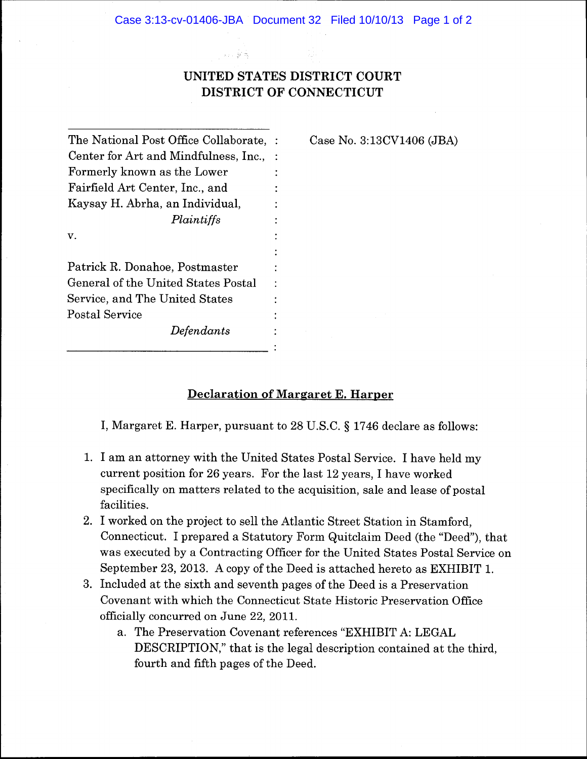# **UNITED STATES DISTRICT COURT DISTRICT OF CONNECTICUT**

分以発売

No. 3:13CV1406 (JBA)

| The National Post Office Collaborate, : | ase |
|-----------------------------------------|-----|
| Center for Art and Mindfulness, Inc.,   |     |
| Formerly known as the Lower             |     |
| Fairfield Art Center, Inc., and         |     |
| Kaysay H. Abrha, an Individual,         |     |
| Plaintiffs                              |     |
| v.                                      |     |
|                                         |     |
| Patrick R. Donahoe, Postmaster          |     |
| General of the United States Postal     |     |
| Service, and The United States          |     |
| Postal Service                          |     |
| Defendants                              |     |
|                                         |     |

**Declaration of Margaret E. Harper** 

I, Margaret E. Harper, pursuant to 28 U.S.C. § 1746 declare as follows:

- 1. I am an attorney with the United States Postal Service. I have held my current position for 26 years. For the last 12 years, I have worked specifically on matters related to the acquisition, sale and lease of postal facilities.
- 2. I worked on the project to sell the Atlantic Street Station in Stamford, Connecticut. I prepared a Statutory Form Quitclaim Deed (the "Deed"), that was executed by a Contracting Officer for the United States Postal Service on September 23, 2013. A copy of the Deed is attached hereto as EXHIBIT 1.
- 3. Included at the sixth and seventh pages of the Deed is a Preservation Covenant with which the Connecticut State Historic Preservation Office officially concurred on June 22, 2011.
	- a. The Preservation Covenant references "EXHIBIT A: LEGAL DESCRIPTION," that is the legal description contained at the third, fourth and fifth pages of the Deed.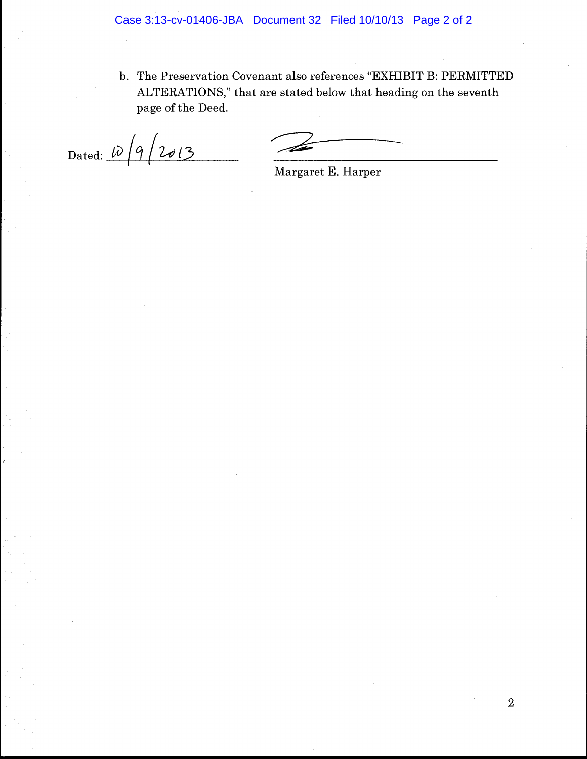b. The Preservation Covenant also references "EXHIBIT B: PERMITTED ALTERATIONS," that are stated below that heading on the seventh page of the Deed.

Dated:  $\sqrt{q/2013}$ 

Margaret E. Harper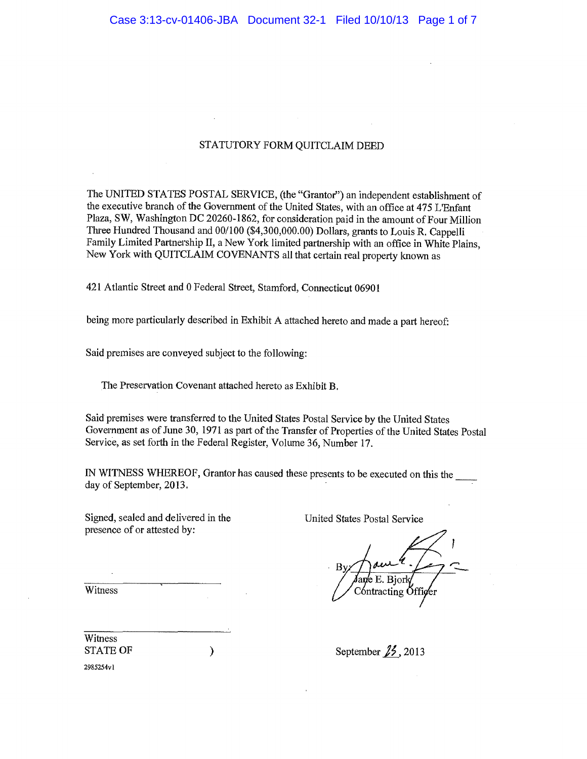### STATUTORY FORM QUITCLAIM DEED

The UNITED STATES POSTAL SERVICE, (the "Grantor") an independent establishment of the executive branch of the Government of the United States, with an office at 475 L'Enfant Plaza, SW, Washington DC 20260-1862, for consideration paid in the amount of Four Million Three Hundred Thousand and 00/100 (\$4,300,000.00) Dollars, grants to Louis R. Cappelli Family Limited Partnership II, a New York limited partnership with an office in White Plains, New York with QUITCLAIM COVENANTS all that certain real property known as

421 Atlantic Street and 0 Federal Street, Stamford, Connecticut 06901

being more particularly described in Exhibit A attached hereto and made a part hereof:

Said premises are conveyed subject to the following:

The Preservation Covenant attached hereto as Exhibit B.

 $\mathcal{Y}$ 

Said premises were transferred to the United States Postal Service by the United States Government as of June 30, 1971 as part of the Transfer of Properties of the United States Postal Service, as set forth in the Federal Register, Volume 36, Number 17.

IN WITNESS WHEREOF, Grantor has caused these presents to be executed on this the day of September, 2013.

Signed, sealed and delivered in the presence of or attested by:

**United States Postal Service** 

tracting O

September  $\cancel{12}$ , 2013

**STATE OF** 2985254v1

Witness

Witness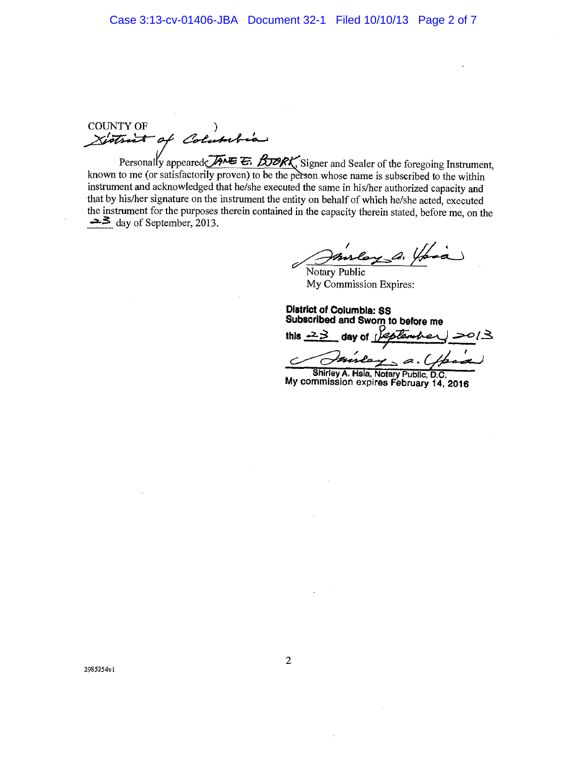**COUNTY OF** Xistrict of Columbia

Personally appeared  $\overline{AB}$   $\overline{E}$ . BORK, Signer and Sealer of the foregoing Instrument,<br>known to me (or satisfactorily proven) to be the person whose name is subscribed to the within instrument and acknowledged that he/she executed the same in his/her authorized capacity and that by his/her signature on the instrument the entity on behalf of which he/she acted, executed the instrument for the purposes therein contained in the capacity therein stated, before me, on the  $\Rightarrow$  day of September, 2013.

ley a !

Notary Public My Commission Expires:

**District of Columbia: SS** Subscribed and Sworn to before me day of *Lesten* this  $-2\geq$  $\mathfrak{a}.$ 

Shirley A. Hsia, Notary Public, D.C. My commission expires February 14, 2016

2985254vl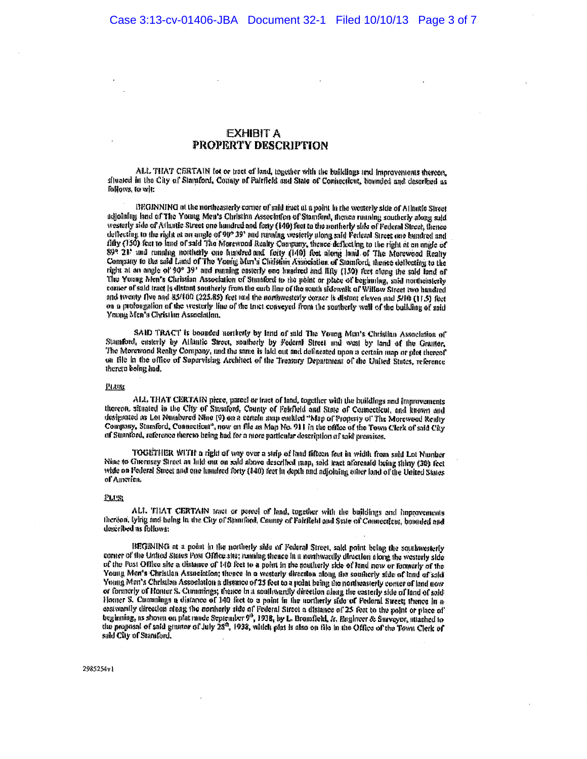### EXHIBIT A **PROPERTY DESCRIPTION**

ALL THAT CERTAIN for or tract of land, together with the buildings and improvements thereon, altuated in the City of Stantford, County of Palefield and State of Connecticut, hounded and described as follows, to wit:

DEGINNING of the northeasterly corner of said guet al a point in the westerly side of Atlantic Sizest adioining land of The Young Men's Christian Association of Standard, facace running southerly along said westerly side of Atlantic Street one hundred and fony (140) feet to the nonherly side of Federal Shoot, thence deflecting to the right at an angle of 90° 39' and running westerly plong said: Pederal Street and hundred and fifty (150) feet to land of said The Morewood Realty Company, thence deflecting to the right at an angle of 899 21' and running northerly one hundred and forty (140) feet along land of The Morewood Realty<br>Company to the said Land of The Young Muri's Christian Association of Stanford, thence deflecting to the right at an angle of 90° 39' and ranning easterly and headred and Hity (150) feet along the said land of The Young Men's Christian Association of Standord to the point or place of beginning, said northeirsterly corner of said tract is distant southerly from the earth line of the south sidewalk of Willow Street two handred and twenty five and 85/000 (225.85) feet and the northwesterly corner is distant cleven and 5/10 (11.5) feat on a probagation of the vesterly line of the truct conveyed from the southerly wall of the building of and Young Men's Christian Association.

SAID TRACT is bounded northely by land of said The Young Man's Christian Association of Stamford, ensterly by Allantic Stroet, southerly by Federal Street and wast by land of the Grantor, The Morewood Realty Company, and the same is laid out and definented upon a certain map or plet thereof on file in the office of Supervising Architect of the Treatury Department of the United States, reference there a boing had,

#### 四心症

ALL THAT CERTAIN piece, pared or tract of land, together with the buildings and improvements thoreon, situated in the City of Standord, County of Fairfield and State of Connecticut, and known and designated as Lot Numbered Nine (9) on a certain map emitted "Map of Property of The Morewood Realty Company, Stanford, Connecticat", now on file as Map No. 911 in the office of the Town Clerk of said City of Stamford, reference therew being had for a more particular description of said premises.

TOGETHER WITH a right of way over a strip of land fifteen fout in width from suid Lot Number Nine to Guernsey Street as hild out on said above described map, said teact aforesaid being thiny (30) feet while on Federal Street and one hundred forty (140) feet in dopth and adjoining other land of the United States of America.

#### <u>Plans</u>

ALL THAT CERTAIN truet or pareci of land, together with the buildings and happrograms therism, lying and being in the City of Spanford, County of Fairfield and State of Councerten, bounded and described as follows:

BEGINING at a point in the northerly side of Federal Street, sold point being the southwesterly corner of the United States Post Office site; running thence in a nonhwardly direction along the westerly side of the Post Office site a distance of 140 feet to a point in the noutlierly side of land now or formerly of the Young Men's Christian Association; thence in a westerly direction along the southerly side of land of said Young Men's Christian Association a distance of 25 feet to a noint being the nonbeasterly corner of land now or formerly of Homer S. Commings; thence in a southwardly direction along the exterty side of land of sold-Homer S. Cumulugs a distance of 140 feet to a point in the untilerly side of Federal Street; thence in a eastwardly direction along the nominaly side of Federal Street a distance of 25 feet to the paint or place of  $\alpha$ <br>beginning, as shown on plat made September 9<sup>1</sup>, 1938, by L. Bromfield, *k*, *Hagineer & Surveyor*, attach said City of Stansford,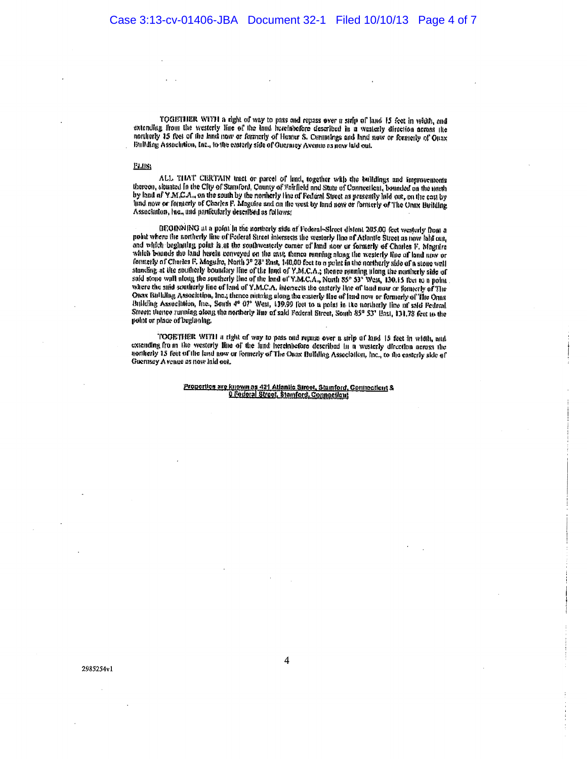TOGETHER WITH a right of way to pass and repass over a strip of land 15 feet in width, and extending from the westerly line of the land hereinhefore described in a westerly direction across the northerly 15 feet of the land now or formerly of Homer S. Cummings and land now or formerly of Onax Building Association, Inc., to the casterly side of Guermey Avenue as now laid out.

#### PLUS.

ALL THAT CEREMIN tract or pared of land, together with the buildings and improvements thereon, situated in the City of Stamford, County of Forfield and Stute of Connecticut, bounded on the north by land of Y M.C.A., on the south by the northerly line of Featural Street as presently laid out, on the cast by lind now or formerly of Charles F. Maguire and on the west by land now or formerly of The Umix Building Association, heading particularly described as follows:

BEOINNING at a point in the northerly side of Federal-Sirces distant 205.00 feet westerly from a noist where the nontherly line of Federal Street Intersects the westerly line of Atlantic Street as now labi out, and which beginning point is at the southwesterly comer of land now or formerly of Charles F. Magnire which bounds the land berein conveyed on the east, thence running along the westerly fluo of land new or formerly of Charles F. Maguire, North 3° 28' East, 140,00 feet to a point in the northerly side of a stone wall standing at the southerly boundary line of the land of Y.M.C.A.; thence maning ulong the nonlinerly side of said stone wall along the southerly side of said stone wall along the southerly line of the land of Y.M.C.A., Nort where the suid sentimerly line of land of Y.M.C.A. intersects the easterly line of land now or formerly of The Once Bullding Association, Inc.; thence mitning along the easterly line of land now or formerly of The Onns Building Association, Inc., South 4e 07<sup>t</sup> West, 139.99 feet to a point in the northerly line of said Federal Street: thence running along the northerly line of sald Federal Street, South 85° 53' Hast, 131,78 feet to the point or place of beginning.

TOOETHER WITH a right of way to pass ond remas over a sirip of land 15 feet in width, and extending from the westerly line of the fund hereinbefore described in a wasterly direction across the aonherly 15 feet of the land now or formerly of The Oanx Bullding Association, Inc., to the casterly side of Guernsay A venue as now laid out,

> Proportion are known as 421 Atlantic Street, Stamford, Connecticut & <u>0 Codoral Street, Stamford, Comnoglent</u>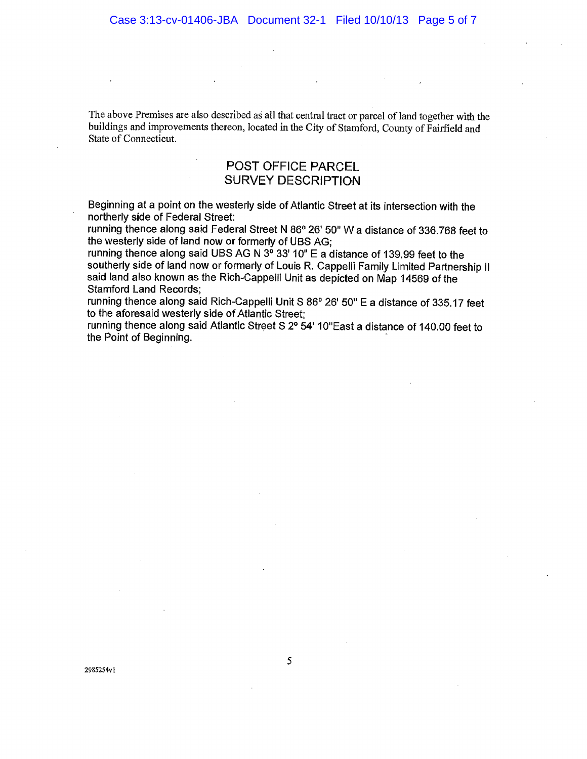The above Premises are also described as all that central tract or parcel of land together with the buildings and improvements thereon, located in the City of Stamford, County of Fairfield and State of Connecticut.

## POST OFFICE PARCEL **SURVEY DESCRIPTION**

Beginning at a point on the westerly side of Atlantic Street at its intersection with the northerly side of Federal Street:

running thence along said Federal Street N 86° 26' 50" W a distance of 336.768 feet to the westerly side of land now or formerly of UBS AG;

running thence along said UBS AG N 3<sup>6</sup> 33' 10" E a distance of 139.99 feet to the southerly side of land now or formerly of Louis R. Cappelli Family Limited Partnership II said land also known as the Rich-Cappelli Unit as depicted on Map 14569 of the **Stamford Land Records:** 

running thence along said Rich-Cappelli Unit S 86° 26' 50" E a distance of 335.17 feet to the aforesaid westerly side of Atlantic Street:

running thence along said Atlantic Street S 2° 54' 10"East a distance of 140.00 feet to the Point of Beginning.

2985254v1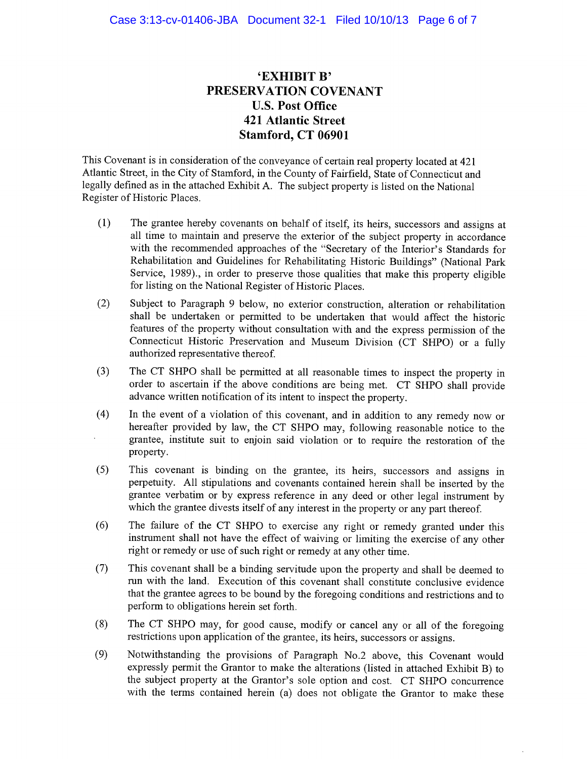# 'EXHIBIT B' PRESERVATION COVENANT **U.S. Post Office 421 Atlantic Street** Stamford, CT 06901

This Covenant is in consideration of the conveyance of certain real property located at 421 Atlantic Street, in the City of Stamford, in the County of Fairfield, State of Connecticut and legally defined as in the attached Exhibit A. The subject property is listed on the National Register of Historic Places.

- $(1)$ The grantee hereby covenants on behalf of itself, its heirs, successors and assigns at all time to maintain and preserve the exterior of the subject property in accordance with the recommended approaches of the "Secretary of the Interior's Standards for Rehabilitation and Guidelines for Rehabilitating Historic Buildings" (National Park Service, 1989)., in order to preserve those qualities that make this property eligible for listing on the National Register of Historic Places.
- Subject to Paragraph 9 below, no exterior construction, alteration or rehabilitation  $(2)$ shall be undertaken or permitted to be undertaken that would affect the historic features of the property without consultation with and the express permission of the Connecticut Historic Preservation and Museum Division (CT SHPO) or a fully authorized representative thereof.
- $(3)$ The CT SHPO shall be permitted at all reasonable times to inspect the property in order to ascertain if the above conditions are being met. CT SHPO shall provide advance written notification of its intent to inspect the property.
- $(4)$ In the event of a violation of this covenant, and in addition to any remedy now or hereafter provided by law, the CT SHPO may, following reasonable notice to the grantee, institute suit to enjoin said violation or to require the restoration of the property.
- This covenant is binding on the grantee, its heirs, successors and assigns in  $(5)$ perpetuity. All stipulations and covenants contained herein shall be inserted by the grantee verbatim or by express reference in any deed or other legal instrument by which the grantee divests itself of any interest in the property or any part thereof.
- $(6)$ The failure of the CT SHPO to exercise any right or remedy granted under this instrument shall not have the effect of waiving or limiting the exercise of any other right or remedy or use of such right or remedy at any other time.
- $(7)$ This covenant shall be a binding servitude upon the property and shall be deemed to run with the land. Execution of this covenant shall constitute conclusive evidence that the grantee agrees to be bound by the foregoing conditions and restrictions and to perform to obligations herein set forth.
- The CT SHPO may, for good cause, modify or cancel any or all of the foregoing  $(8)$ restrictions upon application of the grantee, its heirs, successors or assigns.
- $(9)$ Notwithstanding the provisions of Paragraph No.2 above, this Covenant would expressly permit the Grantor to make the alterations (listed in attached Exhibit B) to the subject property at the Grantor's sole option and cost. CT SHPO concurrence with the terms contained herein (a) does not obligate the Grantor to make these